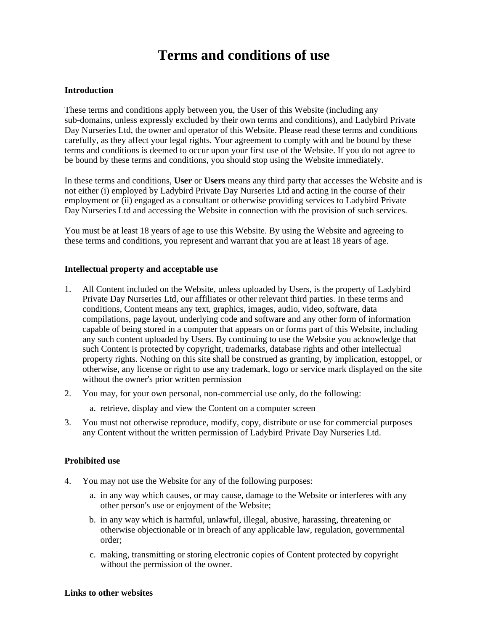# **Terms and conditions of use**

### **Introduction**

These terms and conditions apply between you, the User of this Website (including any sub-domains, unless expressly excluded by their own terms and conditions), and Ladybird Private Day Nurseries Ltd, the owner and operator of this Website. Please read these terms and conditions carefully, as they affect your legal rights. Your agreement to comply with and be bound by these terms and conditions is deemed to occur upon your first use of the Website. If you do not agree to be bound by these terms and conditions, you should stop using the Website immediately.

In these terms and conditions, **User** or **Users** means any third party that accesses the Website and is not either (i) employed by Ladybird Private Day Nurseries Ltd and acting in the course of their employment or (ii) engaged as a consultant or otherwise providing services to Ladybird Private Day Nurseries Ltd and accessing the Website in connection with the provision of such services.

You must be at least 18 years of age to use this Website. By using the Website and agreeing to these terms and conditions, you represent and warrant that you are at least 18 years of age.

#### **Intellectual property and acceptable use**

- 1. All Content included on the Website, unless uploaded by Users, is the property of Ladybird Private Day Nurseries Ltd, our affiliates or other relevant third parties. In these terms and conditions, Content means any text, graphics, images, audio, video, software, data compilations, page layout, underlying code and software and any other form of information capable of being stored in a computer that appears on or forms part of this Website, including any such content uploaded by Users. By continuing to use the Website you acknowledge that such Content is protected by copyright, trademarks, database rights and other intellectual property rights. Nothing on this site shall be construed as granting, by implication, estoppel, or otherwise, any license or right to use any trademark, logo or service mark displayed on the site without the owner's prior written permission
- 2. You may, for your own personal, non-commercial use only, do the following:
	- a. retrieve, display and view the Content on a computer screen
- 3. You must not otherwise reproduce, modify, copy, distribute or use for commercial purposes any Content without the written permission of Ladybird Private Day Nurseries Ltd.

### **Prohibited use**

- 4. You may not use the Website for any of the following purposes:
	- a. in any way which causes, or may cause, damage to the Website or interferes with any other person's use or enjoyment of the Website;
	- b. in any way which is harmful, unlawful, illegal, abusive, harassing, threatening or otherwise objectionable or in breach of any applicable law, regulation, governmental order;
	- c. making, transmitting or storing electronic copies of Content protected by copyright without the permission of the owner.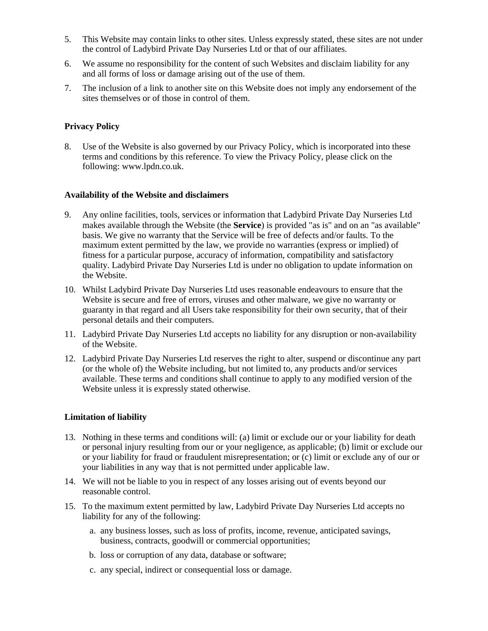- 5. This Website may contain links to other sites. Unless expressly stated, these sites are not under the control of Ladybird Private Day Nurseries Ltd or that of our affiliates.
- 6. We assume no responsibility for the content of such Websites and disclaim liability for any and all forms of loss or damage arising out of the use of them.
- 7. The inclusion of a link to another site on this Website does not imply any endorsement of the sites themselves or of those in control of them.

# **Privacy Policy**

8. Use of the Website is also governed by our Privacy Policy, which is incorporated into these terms and conditions by this reference. To view the Privacy Policy, please click on the following: www.lpdn.co.uk.

## **Availability of the Website and disclaimers**

- 9. Any online facilities, tools, services or information that Ladybird Private Day Nurseries Ltd makes available through the Website (the **Service**) is provided "as is" and on an "as available" basis. We give no warranty that the Service will be free of defects and/or faults. To the maximum extent permitted by the law, we provide no warranties (express or implied) of fitness for a particular purpose, accuracy of information, compatibility and satisfactory quality. Ladybird Private Day Nurseries Ltd is under no obligation to update information on the Website.
- 10. Whilst Ladybird Private Day Nurseries Ltd uses reasonable endeavours to ensure that the Website is secure and free of errors, viruses and other malware, we give no warranty or guaranty in that regard and all Users take responsibility for their own security, that of their personal details and their computers.
- 11. Ladybird Private Day Nurseries Ltd accepts no liability for any disruption or non-availability of the Website.
- 12. Ladybird Private Day Nurseries Ltd reserves the right to alter, suspend or discontinue any part (or the whole of) the Website including, but not limited to, any products and/or services available. These terms and conditions shall continue to apply to any modified version of the Website unless it is expressly stated otherwise.

## **Limitation of liability**

- 13. Nothing in these terms and conditions will: (a) limit or exclude our or your liability for death or personal injury resulting from our or your negligence, as applicable; (b) limit or exclude our or your liability for fraud or fraudulent misrepresentation; or (c) limit or exclude any of our or your liabilities in any way that is not permitted under applicable law.
- 14. We will not be liable to you in respect of any losses arising out of events beyond our reasonable control.
- 15. To the maximum extent permitted by law, Ladybird Private Day Nurseries Ltd accepts no liability for any of the following:
	- a. any business losses, such as loss of profits, income, revenue, anticipated savings, business, contracts, goodwill or commercial opportunities;
	- b. loss or corruption of any data, database or software;
	- c. any special, indirect or consequential loss or damage.